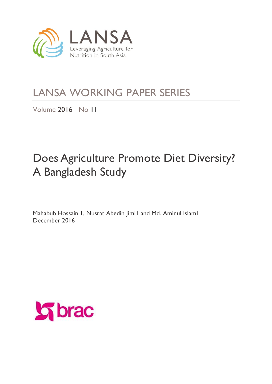

# LANSA WORKING PAPER SERIES

Volume 2016 No 11

# Does Agriculture Promote Diet Diversity? A Bangladesh Study

Mahabub Hossain 1, Nusrat Abedin Jimi1 and Md. Aminul Islam1 December 2016

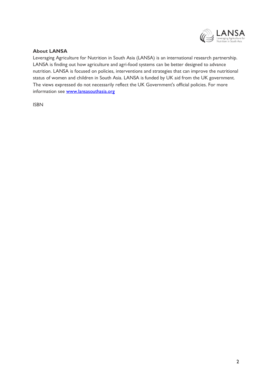

#### **About LANSA**

Leveraging Agriculture for Nutrition in South Asia (LANSA) is an international research partnership. LANSA is finding out how agriculture and agri-food systems can be better designed to advance nutrition. LANSA is focused on policies, interventions and strategies that can improve the nutritional status of women and children in South Asia. LANSA is funded by UK aid from the UK government. The views expressed do not necessarily reflect the UK Government's official policies. For more information see [www.lansasouthasia.org](http://www.lansasouthasia.org/)

ISBN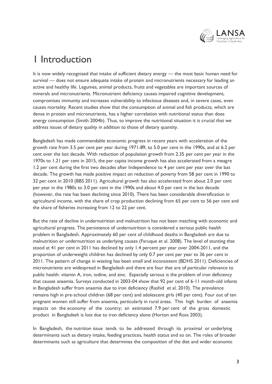

# 1 Introduction

It is now widely recognised that intake of sufficient dietary energy — the most basic human need for survival — does not ensure adequate intake of protein and micronutrients necessary for leading an active and healthy life. Legumes, animal products, fruits and vegetables are important sources of minerals and micronutrients. Micronutrient deficiency causes impaired cognitive development, compromises immunity and increases vulnerability to infectious diseases and, in severe cases, even causes mortality. Recent studies show that the consumption of animal and fish products, which are dense in protein and micronutrients, has a higher correlation with nutritional status than does energy consumption (Smith 2004b). Thus, to improve the nutritional situation it is crucial that we address issues of dietary quality in addition to those of dietary quantity.

Bangladesh has made commendable economic progress in recent years with acceleration of the growth rate from 3.5 per cent per year during 1971-89, to 5.0 per cent in the 1990s, and at 6.2 per cent over the last decade. With reduction of population growth from 2.35 per cent per year in the 1970s to 1.21 per cent in 2015, the per capita income growth has also accelerated from a meagre 1.2 per cent during the first two decades after Independence to 4 per cent per year over the last decade. The growth has made positive impact on reduction of poverty from 58 per cent in 1990 to 32 per cent in 2010 (BBS 2011). Agricultural growth has also accelerated from about 2.0 per cent per year in the 1980s to 3.0 per cent in the 1990s and about 4.0 per cent in the last decade (however, the rate has been declining since 2010). There has been considerable diversification in agricultural income, with the share of crop production declining from 65 per cent to 56 per cent and the share of fisheries increasing from 12 to 22 per cent.

But the rate of decline in undernutrition and malnutrition has not been matching with economic and agricultural progress. The persistence of undernutrition is considered a serious public health problem in Bangladesh. Approximately 60 per cent of childhood deaths in Bangladesh are due to malnutrition or undernutrition as underlying causes (Faruque et al. 2008). The level of stunting that stood at 41 per cent in 2011 has declined by only 1.4 percent per year over 2004-2011, and the proportion of underweight children has declined by only 0.7 per cent per year to 36 per cent in 2011. The pattern of change in wasting has been small and inconsistent (BDHS 2011). Deficiencies of micronutrients are widespread in Bangladesh and there are four that are of particular relevance to public health: vitamin A, iron, iodine, and zinc. Especially serious is the problem of iron deficiency that causes anaemia. Surveys conducted in 2003-04 show that 92 per cent of 6‐11 month-old infants in Bangladesh suffer from anaemia due to iron deficiency (Rashid et al. 2010). The prevalence remains high in pre‐school children (68 per cent) and adolescent girls (40 per cent). Four out of ten pregnant women still suffer from anaemia, particularly in rural areas. This high burden of anaemia impacts on the economy of the country; an estimated 7.9 per cent of the gross domestic product in Bangladesh is lost due to iron deficiency alone (Horton and Ross 2003).

In Bangladesh, the nutrition issue tends to be addressed through its proximal or underlying determinants such as dietary intake, feeding practices, health status and so on. The roles of broader determinants such as agriculture that determines the composition of the diet and wider economic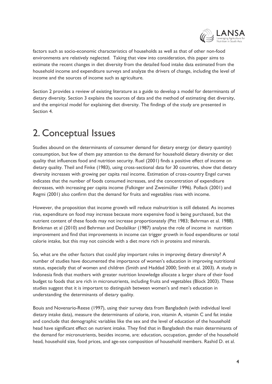

factors such as socio-economic characteristics of households as well as that of other non-food environments are relatively neglected. Taking that view into consideration, this paper aims to estimate the recent changes in diet diversity from the detailed food intake data estimated from the household income and expenditure surveys and analyze the drivers of change, including the level of income and the sources of income such as agriculture.

Section 2 provides a review of existing literature as a guide to develop a model for determinants of dietary diversity. Section 3 explains the sources of data and the method of estimating diet diversity, and the empirical model for explaining diet diversity. The findings of the study are presented in Section 4.

# 2. Conceptual Issues

Studies abound on the determinants of consumer demand for dietary energy (or dietary quantity) consumption, but few of them pay attention to the demand for household dietary diversity or diet quality that influences food and nutrition security. Ruel (2001) finds a positive effect of income on dietary quality. Theil and Finke (1983), using cross-sectional data for 30 countries, show that dietary diversity increases with growing per capita real income. Estimation of cross-country Engel curves indicates that the number of foods consumed increases, and the concentration of expenditure decreases, with increasing per capita income (Falkinger and Zweimüller 1996). Pollack (2001) and Regmi (2001) also confirm that the demand for fruits and vegetables rises with income.

However, the proposition that income growth will reduce malnutrition is still debated. As incomes rise, expenditure on food may increase because more expensive food is being purchased, but the nutrient content of these foods may not increase proportionately (Pitt 1983; Behrman et al. 1988). Brinkman et al (2010) and Behrman and Deolalikar (1987) analyse the role of income in nutrition improvement and find that improvements in income can trigger growth in food expenditures or total calorie intake, but this may not coincide with a diet more rich in proteins and minerals.

So, what are the other factors that could play important roles in improving dietary diversity? A number of studies have documented the importance of women's education in improving nutritional status, especially that of women and children (Smith and Haddad 2000; Smith et al. 2003). A study in Indonesia finds that mothers with greater nutrition knowledge allocate a larger share of their food budget to foods that are rich in micronutrients, including fruits and vegetables (Block 2003). These studies suggest that it is important to distinguish between women's and men's education in understanding the determinants of dietary quality.

Bouis and Novenario-Reese (1997), using their survey data from Bangladesh (with individual level dietary intake data), measure the determinants of calorie, iron, vitamin A, vitamin C and fat intake and conclude that demographic variables like the sex and the level of education of the household head have significant effect on nutrient intake. They find that in Bangladesh the main determinants of the demand for micronutrients, besides income, are: education, occupation, gender of the household head, household size, food prices, and age-sex composition of household members. Rashid D. et al.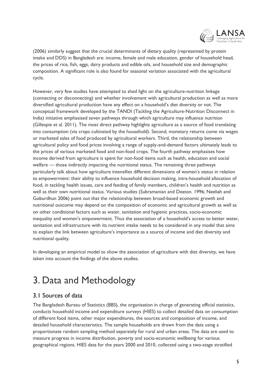

(2006) similarly suggest that the crucial determinants of dietary quality (represented by protein intake and DDS) in Bangladesh are: income, female and male education, gender of household head, the prices of rice, fish, eggs, dairy products and edible oils, and household size and demographic composition. A significant role is also found for seasonal variation associated with the agricultural cycle.

However, very few studies have attempted to shed light on the agriculture-nutrition linkage (connecting or disconnecting) and whether involvement with agricultural production as well as more diversified agricultural production have any effect on a household's diet diversity or not. The conceptual framework developed by the TANDI (Tackling the Agriculture-Nutrition Disconnect in India) initiative emphasised seven pathways through which agriculture may influence nutrition (Gillespie et al. 2011). The most direct pathway highlights agriculture as a source of food translating into consumption (via crops cultivated by the household). Second, monetary returns come via wages or marketed sales of food produced by agricultural workers. Third, the relationship between agricultural policy and food prices involving a range of supply-and-demand factors ultimately leads to the prices of various marketed food and non-food crops. The fourth pathway emphasises how income derived from agriculture is spent for non-food items such as health, education and social welfare — those indirectly impacting the nutritional status. The remaining three pathways particularly talk about how agriculture intensifies different dimensions of women's status in relation to empowerment: their ability to influence household decision making, intra-household allocation of food, in tackling health issues, care and feeding of family members, children's health and nutrition as well as their own nutritional status. Various studies (Subramanian and Deaton. 1996; Neeliah and Goburdhun 2006) point out that the relationship between broad-based economic growth and nutritional outcome may depend on the composition of economic and agricultural growth as well as on other conditional factors such as water, sanitation and hygienic practices, socio-economic inequality and women's empowerment. Thus the association of a household's access to better water, sanitation and infrastructure with its nutrient intake needs to be considered in any model that aims to explain the link between agriculture's importance as a source of income and diet diversity and nutritional quality.

In developing an empirical model to show the association of agriculture with diet diversity, we have taken into account the findings of the above studies.

# 3. Data and Methodology

### 3.1 Sources of data

The Bangladesh Bureau of Statistics (BBS), the organisation in charge of generating official statistics, conducts household income and expenditure surveys (HIES) to collect detailed data on consumption of different food items, other major expenditures, the sources and composition of income, and detailed household characteristics. The sample households are drawn from the data using a proportionate random sampling method separately for rural and urban areas. The data are used to measure progress in income distribution, poverty and socio-economic wellbeing for various geographical regions. HIES data for the years 2000 and 2010, collected using a two-stage stratified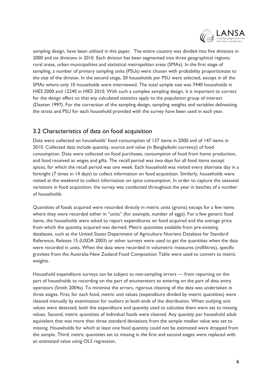

sampling design, have been utilised in this paper. The entire country was divided into five divisions in 2000 and six divisions in 2010. Each division has been segmented into three geographical regions: rural areas, urban municipalities and statistical metropolitan areas (SMAs). In the first stage of sampling, a number of primary sampling units (PSUs) were chosen with probability proportionate to the size of the division. In the second stage, 20 households per PSU were selected, except in all the SMAs where only 10 households were interviewed. The total sample size was 7440 households in HIES 2000 and 12240 in HIES 2010. With such a complex sampling design, it is important to correct for the design effect so that any calculated statistics apply to the population group of interest (Deaton 1997). For the correction of the sampling design, sampling weights and variables delineating the strata and PSU for each household provided with the survey have been used in each year.

## 3.2 Characteristics of data on food acquisition

Data were collected on households' food consumption of 137 items in 2000 and of 147 items in 2010. Collected data include quantity, source and value (in Bangladeshi currency) of food consumption. Data were collected on food purchases, consumption of food from home production, and food received as wages and gifts. The recall period was two days for all food items except spices, for which the recall period was one week. Each household was visited every alternate day in a fortnight (7 times in 14 days) to collect information on food acquisition. Similarly, households were visited at the weekend to collect information on spice consumption. In order to capture the seasonal variations in food acquisition, the survey was conducted throughout the year in batches of a number of households.

Quantities of foods acquired were recorded directly in metric units (grams) except for a few items where they were recorded either in "units" (for example, number of eggs). For a few generic food items, the households were asked to report expenditures on food acquired and the average price from which the quantity acquired was derived. Metric quantities available from pre-existing databases, such as the United States Department of Agriculture Nutrient Database for Standard Reference, Release 15 (USDA 2003) or other surveys were used to get the quantities when the data were recorded in units. When the data were recorded in volumetric measures (millilitres), specific gravities from the Australia-New Zealand Food Composition Table were used to convert to metric weights.

Household expenditure surveys can be subject to non-sampling errors — from reporting on the part of households to recording on the part of enumerators to entering on the part of data entry operators (Smith 2004a). To minimise the errors, rigorous cleaning of the data was undertaken in three stages. First, for each food, metric unit values (expenditure divided by metric quantities) were cleaned manually by examination for outliers at both ends of the distribution. When outlying unit values were detected, both the expenditure and quantity used to calculate them were set to missing values. Second, metric quantities of individual foods were cleaned. Any quantity per household adult equivalent that was more than three standard deviations from the sample median value was set to missing. Households for which at least one food quantity could not be estimated were dropped from the sample. Third, metric quantities set to missing in the first and second stages were replaced with an estimated value using OLS regression.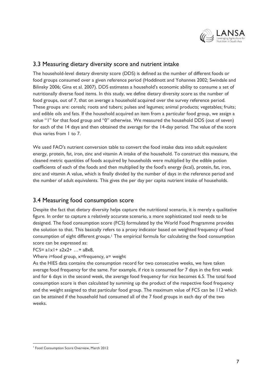

### 3.3 Measuring dietary diversity score and nutrient intake

The household-level dietary diversity score (DDS) is defined as the number of different foods or food groups consumed over a given reference period (Hoddinott and Yohannes 2002; Swindale and Bilinsky 2006; Gina et al. 2007). DDS estimates a household's economic ability to consume a set of nutritionally diverse food items. In this study, we define dietary diversity score as the number of food groups, out of 7, that on average a household acquired over the survey reference period. These groups are: cereals; roots and tubers; pulses and legumes; animal products; vegetables; fruits; and edible oils and fats. If the household acquired an item from a particular food group, we assign a value "1" for that food group and "0" otherwise. We measured the household DDS (out of seven) for each of the 14 days and then obtained the average for the 14-day period. The value of the score thus varies from 1 to 7.

We used FAO's nutrient conversion table to convert the food intake data into adult equivalent energy, protein, fat, iron, zinc and vitamin A intake of the household. To construct this measure, the cleaned metric quantities of foods acquired by households were multiplied by the edible potion coefficients of each of the foods and then multiplied by the food's energy (kcal), protein, fat, iron, zinc and vitamin A value, which is finally divided by the number of days in the reference period and the number of adult equivalents. This gives the per day per capita nutrient intake of households.

### 3.4 Measuring food consumption score

Despite the fact that dietary diversity helps capture the nutritional scenario, it is merely a qualitative figure. In order to capture a relatively accurate scenario, a more sophisticated tool needs to be designed. The food consumption score (FCS) formulated by the World Food Programme provides the solution to that. This basically refers to a proxy indicator based on weighted frequency of food consumption of eight different groups. <sup>1</sup> The empirical formula for calculating the food consumption score can be expressed as:

#### $FCS = a|x| + a2x2 + ... + a8x8$

Where i=food group, x=frequency, a= weight

As the HIES data contains the consumption record for two consecutive weeks, we have taken average food frequency for the same. For example, if rice is consumed for 7 days in the first week and for 6 days in the second week, the average food frequency for rice becomes 6.5. The total food consumption score is then calculated by summing up the product of the respective food frequency and the weight assigned to that particular food group. The maximum value of FCS can be 112 which can be attained if the household had consumed all of the 7 food groups in each day of the two weeks.

<sup>-</sup>1 Food Consumption Score Overview, March 2012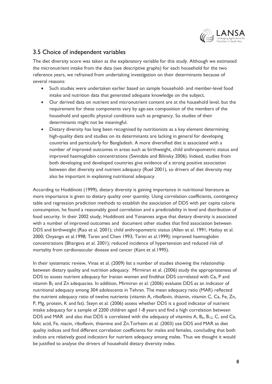

## 3.5 Choice of independent variables

The diet diversity score was taken as the explanatory variable for this study. Although we estimated the micronutrient intake from the data (see descriptive graphs) for each household for the two reference years, we refrained from undertaking investigation on their determinants because of several reasons:

- Such studies were undertaken earlier based on sample household- and member-level food intake and nutrition data that generated adequate knowledge on the subject.
- Our derived data on nutrient and micronutrient content are at the household level, but the requirement for these components vary by age-sex composition of the members of the household and specific physical conditions such as pregnancy. So studies of their determinants might not be meaningful.
- Dietary diversity has long been recognised by nutritionists as a key element determining high-quality diets and studies on its determinants are lacking in general for developing countries and particularly for Bangladesh. A more diversified diet is associated with a number of improved outcomes in areas such as birthweight, child anthropometric status and improved haemoglobin concentrations (Swindale and Bilinsky 2006). Indeed, studies from both developing and developed countries give evidence of a strong positive association between diet diversity and nutrient adequacy (Ruel 2001), so drivers of diet diversity may also be important in explaining nutritional adequacy.

According to Hoddinott (1999), dietary diversity is gaining importance in nutritional literature as more importance is given to dietary quality over quantity. Using correlation coefficients, contingency table and regression prediction methods to establish the association of DDS with per capita calorie consumption, he found a reasonably good correlation and a predictability in level and distribution of food security. In their 2002 study, Hoddinott and Yonannes argue that dietary diversity is associated with a number of improved outcomes and document other studies that find association between DDS and birthweight (Rao et al. 2001); child anthropometric status (Allen et al. 1991; Hatloy et al. 2000; Onyango et al.1998; Taren and Chen 1993; Tarini et al.1999); improved haemoglobin concentrations (Bhargava et al. 2001); reduced incidence of hypertension and reduced risk of mortality from cardiovascular disease and cancer (Kant et al.1995).

In their systematic review, Vinas et al. (2009) list a number of studies showing the relationship between dietary quality and nutrition adequacy. Mirmiran et al. (2006) study the appropriateness of DDS to assess nutrient adequacy for Iranian women and findthat DDS correlated with Ca, P and vitamin  $B_2$  and  $Zn$  adequacies. In addition, Mirmiran et al. (2006) evaluate DDS as an indicator of nutritional adequacy among 304 adolescents in Tehran. The mean adequacy ratio (MAR) reflected the nutrient adequacy ratio of twelve nutrients (vitamin A, riboflavin, thiamin, vitamin C, Ca, Fe, Zn, P, Mg, protein, K and fat). Steyn et al. (2006) assess whether DDS is a good indicator of nutrient intake adequacy for a sample of 2200 children aged 1-8 years and find a high correlation between DDS and MAR and also that DDS is correlated with the adequacy of vitamins A,  $B_6$ ,  $B_{12}$ , C, and Ca, folic acid, Fe, niacin, riboflavin, thiamine and Zn.Torheim et al. (2003) use DDS and MAR as diet quality indices and find different correlation coefficients for males and females, concluding that both indices are relatively good indicators for nutrient adequacy among males. Thus we thought it would be justified to analyse the drivers of household dietary diversity index.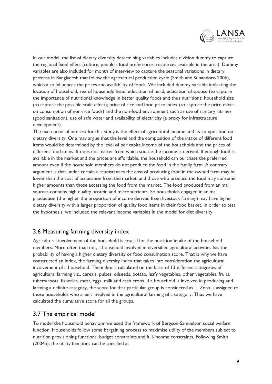

In our model, the list of dietary diversity determining variables includes division dummy to capture the regional fixed effect (culture, people's food preferences, resources available in the area). Dummy variables are also included for month of interview to capture the seasonal variations in dietary patterns in Bangladesh that follow the agricultural production cycle (Smith and Subandoro 2006), which also influences the prices and availability of foods. We included dummy variable indicating the location of household, sex of household head, education of head, education of spouse (to capture the importance of nutritional knowledge in better quality foods and thus nutrition); household size (to capture the possible scale effect); price of rice and food price index (to capture the price effect on consumption of non-rice foods) and the non-food environment such as use of sanitary latrines (good sanitation), use of safe water and availability of electricity (a proxy for infrastructure development).

The main point of interest for this study is the effect of agricultural income and its composition on dietary diversity. One may argue that the level and the composition of the intake of different food items would be determined by the level of per capita income of the households and the prices of different food items. It does not matter from which source the income is derived. If enough food is available in the market and the prices are affordable, the household can purchase the preferred amount even if the household members do not produce the food in the family farm. A contrary argument is that under certain circumstances the cost of producing food in the owned farm may be lower than the cost of acquisition from the market, and those who produce the food may consume higher amounts than those accessing the food from the market. The food produced from animal sources contains high quality protein and micronutrients. So households engaged in animal production (the higher the proportion of income derived from livestock farming) may have higher dietary diversity with a larger proportion of quality food items in their food basket. In order to test the hypothesis, we included the relevant income variables in the model for diet diversity.

### 3.6 Measuring farming diversity index

Agricultural involvement of the household is crucial for the nutrition intake of the household members. More often than not, a household involved in diversified agricultural activities has the probability of having a higher dietary diversity or food consumption score. That is why we have constructed an index, the farming diversity index that takes into consideration the agricultural involvement of a household. The index is calculated on the basis of 13 different categories of agricultural farming viz., cereals, pulses, oilseeds, potato, leafy vegetables, other vegetables, fruits, tubers/roots, fisheries, meat, eggs, milk and cash crops. If a household is involved in producing and farming a definite category, the score for that particular group is considered as 1. Zero is assigned to those households who aren't involved in the agricultural farming of a category. Thus we have calculated the cumulative score for all the groups.

### 3.7 The empirical model

To model the household behaviour we used the framework of Bergson-Samuelson social welfare function. Households follow some bargaining process to maximise utility of the members subject to nutrition provisioning functions, budget constraints and full-income constraints. Following Smith (2004b), the utility functions can be specified as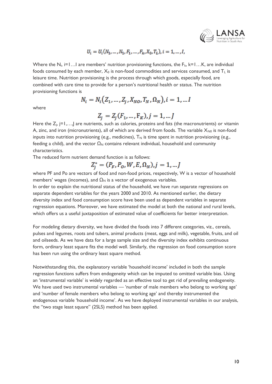

### $U_i = U_i(N_1, ..., N_1, F_1, ..., F_k, X_0, T_L), i = 1, ..., I,$

Where the N<sub>i</sub>, i=1...I are members' nutrition provisioning functions, the F<sub>k</sub>, k=1...K, are individual foods consumed by each member,  $X_0$  is non-food commodities and services consumed, and  $T_L$  is leisure time. Nutrition provisioning is the process through which goods, especially food, are combined with care time to provide for a person's nutritional health or status. The nutrition provisioning functions is

$$
N_i = N_i (Z_1, ..., Z_j, X_{NO}, T_N, \Omega_N), i = 1, ... I
$$

where

$$
Z_j = Z_j(F_1, ..., F_K), j = 1, ...J
$$

Here the  $Z_i$ ,  $j=1,...,j$  are nutrients, such as calories, proteins and fats (the macronutrients) or vitamin A, zinc, and iron (micronutrients), all of which are derived from foods. The variable  $X_{N0}$  is non-food inputs into nutrition provisioning (e.g., medicines),  $T_N$  is time spent in nutrition provisioning (e.g., feeding a child), and the vector  $\Omega_N$  contains relevant individual, household and community characteristics.

The reduced form nutrient demand function is as follows:

$$
Z_j^* = (P_F, P_o, W, E, \Omega_N), j = 1, ... J
$$

where PF and Po are vectors of food and non-food prices, respectively, W is a vector of household members' wages (incomes), and  $\Omega_N$  is a vector of exogenous variables.

In order to explain the nutritional status of the household, we have run separate regressions on separate dependent variables for the years 2000 and 2010. As mentioned earlier, the dietary diversity index and food consumption score have been used as dependent variables in separate regression equations. Moreover, we have estimated the model at both the national and rural levels, which offers us a useful juxtaposition of estimated value of coefficients for better interpretation.

For modeling dietary diversity, we have divided the foods into 7 different categories, viz., cereals, pulses and legumes, roots and tubers, animal products (meat, eggs and milk), vegetable, fruits, and oil and oilseeds. As we have data for a large sample size and the diversity index exhibits continuous form, ordinary least square fits the model well. Similarly, the regression on food consumption score has been run using the ordinary least square method.

Notwithstanding this, the explanatory variable 'household income' included in both the sample regression functions suffers from endogeneity which can be imputed to omitted variable bias. Using an 'instrumental variable' is widely regarded as an effective tool to get rid of prevailing endogeneity. We have used two instrumental variables — 'number of male members who belong to working age' and 'number of female members who belong to working age' and thereby instrumented the endogenous variable 'household income'. As we have deployed instrumental variables in our analysis, the "two stage least square" (2SLS) method has been applied.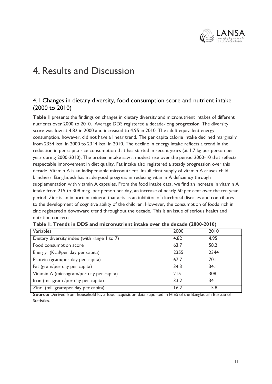

# 4. Results and Discussion

### 4.1 Changes in dietary diversity, food consumption score and nutrient intake (2000 to 2010)

**Table 1** presents the findings on changes in dietary diversity and micronutrient intakes of different nutrients over 2000 to 2010. Average DDS registered a decade-long progression. The diversity score was low at 4.82 in 2000 and increased to 4.95 in 2010. The adult equivalent energy consumption, however, did not have a linear trend. The per capita calorie intake declined marginally from 2354 kcal in 2000 to 2344 kcal in 2010. The decline in energy intake reflects a trend in the reduction in per capita rice consumption that has started in recent years (at 1.7 kg per person per year during 2000-2010). The protein intake saw a modest rise over the period 2000-10 that reflects respectable improvement in diet quality. Fat intake also registered a steady progression over this decade. Vitamin A is an indispensable micronutrient. Insufficient supply of vitamin A causes child blindness. Bangladesh has made good progress in reducing vitamin A deficiency through supplementation with vitamin A capsules. From the food intake data, we find an increase in vitamin A intake from 215 to 308 mcg per person per day, an increase of nearly 50 per cent over the ten year period. Zinc is an important mineral that acts as an inhibitor of diarrhoeal diseases and contributes to the development of cognitive ability of the children. However, the consumption of foods rich in zinc registered a downward trend throughout the decade. This is an issue of serious health and nutrition concern.

| Variables                                   | 2000 | 2010            |
|---------------------------------------------|------|-----------------|
| Dietary diversity index (with range 1 to 7) | 4.82 | 4.95            |
| Food consumption score                      | 63.7 | 58.2            |
| Energy (Kcal/per day per capita)            | 2355 | 2344            |
| Protein (gram/per day per capita)           | 67.7 | 70.1            |
| Fat (gram/per day per capita)               | 34.3 | 34.1            |
| Vitamin A (microgram/per day per capita)    | 215  | 308             |
| Iron (milligram /per day per capita)        | 33.2 | $\overline{34}$ |
| Zinc (milligram/per day per capita)         | 16.2 | 15.8            |
|                                             |      |                 |

**Table 1: Trends in DDS and micronutrient intake over the decade (2000-2010)**

**Source:** Derived from household level food acquisition data reported in HIES of the Bangladesh Bureau of Statistics.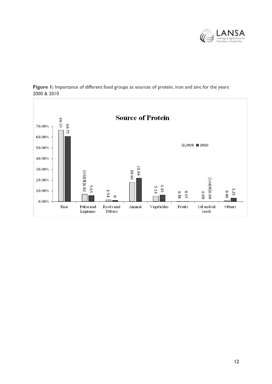



Figure 1: Importance of different food groups as sources of protein, iron and zinc for the years 2000 & 2010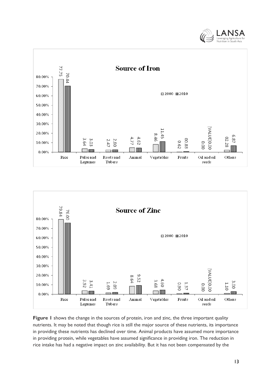





**Figure 1** shows the change in the sources of protein, iron and zinc, the three important quality nutrients. It may be noted that though rice is still the major source of these nutrients, its importance in providing these nutrients has declined over time. Animal products have assumed more importance in providing protein, while vegetables have assumed significance in providing iron. The reduction in rice intake has had a negative impact on zinc availability. But it has not been compensated by the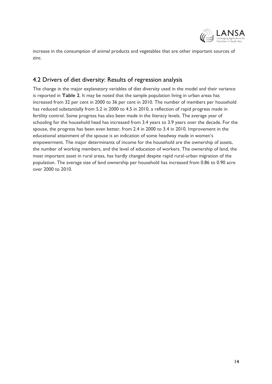

increase in the consumption of animal products and vegetables that are other important sources of zinc.

### 4.2 Drivers of diet diversity: Results of regression analysis

The change in the major explanatory variables of diet diversity used in the model and their variance is reported in **Table 2**. It may be noted that the sample population living in urban areas has increased from 32 per cent in 2000 to 36 per cent in 2010. The number of members per household has reduced substantially from 5.2 in 2000 to 4.5 in 2010, a reflection of rapid progress made in fertility control. Some progress has also been made in the literacy levels. The average year of schooling for the household head has increased from 3.4 years to 3.9 years over the decade. For the spouse, the progress has been even better, from 2.4 in 2000 to 3.4 in 2010. Improvement in the educational attainment of the spouse is an indication of some headway made in women's empowerment. The major determinants of income for the household are the ownership of assets, the number of working members, and the level of education of workers. The ownership of land, the most important asset in rural areas, has hardly changed despite rapid rural-urban migration of the population. The average size of land ownership per household has increased from 0.86 to 0.90 acre over 2000 to 2010.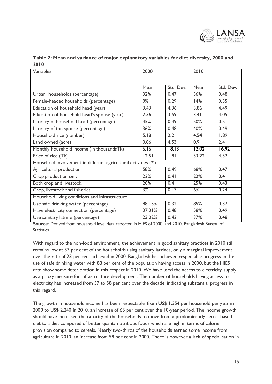

| Table 2: Mean and variance of major explanatory variables for diet diversity, 2000 and |  |  |  |
|----------------------------------------------------------------------------------------|--|--|--|
| 2010                                                                                   |  |  |  |

| Variables                                                      | 2000   |           | 2010  |           |
|----------------------------------------------------------------|--------|-----------|-------|-----------|
|                                                                | Mean   | Std. Dev. | Mean  | Std. Dev. |
| Urban households (percentage)                                  | 32%    | 0.47      | 36%   | 0.48      |
| Female-headed households (percentage)                          | 9%     | 0.29      | 14%   | 0.35      |
| Education of household head (year)                             | 3.43   | 4.36      | 3.86  | 4.49      |
| Education of household head's spouse (year)                    | 2.36   | 3.59      | 3.41  | 4.05      |
| Literacy of household head (percentage)                        | 45%    | 0.49      | 50%   | 0.5       |
| Literacy of the spouse (percentage)                            | 36%    | 0.48      | 40%   | 0.49      |
| Household size (number)                                        | 5.18   | 2.2       | 4.54  | 1.89      |
| Land owned (acre)                                              | 0.86   | 4.53      | 0.9   | 2.41      |
| Monthly household income (in thousandsTk)                      | 6.16   | 18.13     | 12.02 | 16.92     |
| Price of rice (Tk)                                             | 12.51  | .8        | 33.22 | 4.32      |
| Household Involvement in different agricultural activities (%) |        |           |       |           |
| Agricultural production                                        | 58%    | 0.49      | 68%   | 0.47      |
| Crop production only                                           | 22%    | 0.41      | 22%   | 0.41      |
| Both crop and livestock                                        | 20%    | 0.4       | 25%   | 0.43      |
| Crop, livestock and fisheries                                  | 3%     | 0.17      | 6%    | 0.24      |
| Household living conditions and infrastructure                 |        |           |       |           |
| Use safe drinking water (percentage)                           | 88.15% | 0.32      | 85%   | 0.37      |
| Have electricity connection (percentage)                       | 37.31% | 0.48      | 58%   | 0.49      |
| Use sanitary latrine (percentage)                              | 23.02% | 0.42      | 37%   | 0.48      |

**Source**: Derived from household level data reported in HIES of 2000, and 2010, Bangladesh Bureau of **Statistics** 

With regard to the non-food environment, the achievement in good sanitary practices in 2010 still remains low at 37 per cent of the households using sanitary latrines, only a marginal improvement over the rate of 23 per cent achieved in 2000. Bangladesh has achieved respectable progress in the use of safe drinking water with 88 per cent of the population having access in 2000, but the HIES data show some deterioration in this respect in 2010. We have used the access to electricity supply as a proxy measure for infrastructure development. The number of households having access to electricity has increased from 37 to 58 per cent over the decade, indicating substantial progress in this regard.

The growth in household income has been respectable, from US\$ 1,354 per household per year in 2000 to US\$ 2,240 in 2010, an increase of 65 per cent over the 10-year period. The income growth should have increased the capacity of the households to move from a predominantly cereal-based diet to a diet composed of better quality nutritious foods which are high in terms of calorie provision compared to cereals. Nearly two-thirds of the households earned some income from agriculture in 2010, an increase from 58 per cent in 2000. There is however a lack of specialisation in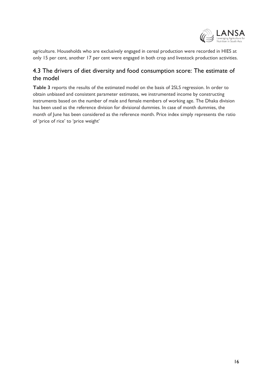

agriculture. Households who are exclusively engaged in cereal production were recorded in HIES at only 15 per cent, another 17 per cent were engaged in both crop and livestock production activities.

## 4.3 The drivers of diet diversity and food consumption score: The estimate of the model

**Table 3** reports the results of the estimated model on the basis of 2SLS regression. In order to obtain unbiased and consistent parameter estimates, we instrumented income by constructing instruments based on the number of male and female members of working age. The Dhaka division has been used as the reference division for divisional dummies. In case of month dummies, the month of June has been considered as the reference month. Price index simply represents the ratio of 'price of rice' to 'price weight'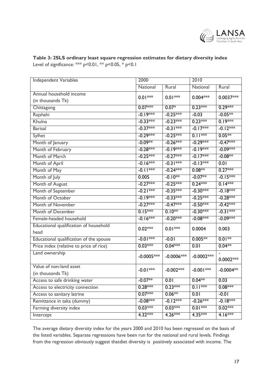

#### **Table 3: 2SLS ordinary least square regression estimates for dietary diversity index** Level of significance: \*\*\* p<0.01, \*\* p<0.05, \* p<0.1

| Independent Variables                   | 2000            |               | 2010         |             |  |
|-----------------------------------------|-----------------|---------------|--------------|-------------|--|
|                                         | <b>National</b> | Rural         | National     | Rural       |  |
| Annual household income                 | $0.01***$       | $0.01***$     | $0.004***$   | $0.0037***$ |  |
| (in thousands Tk)                       |                 |               |              |             |  |
| Chittagong                              | $0.07***$       | $0.07*$       | $0.23***$    | $0.29***$   |  |
| Rajshahi                                | $-0.19***$      | $-0.25***$    | $-0.03$      | $-0.05**$   |  |
| Khulna                                  | $-0.33***$      | $-0.23***$    | $0.23***$    | $0.19***$   |  |
| <b>Barisal</b>                          | $-0.37***$      | $-0.31***$    | $-0.17***$   | $-0.12***$  |  |
| Sylhet                                  | $-0.29***$      | $-0.25***$    | $0.11***$    | $0.05***$   |  |
| Month of January                        | $-0.09**$       | $-0.26***$    | $-0.29***$   | $-0.47***$  |  |
| Month of February                       | $-0.28***$      | $-0.19***$    | $-0.19***$   | $-0.09***$  |  |
| Month of March                          | $-0.25***$      | $-0.27***$    | $-0.17***$   | $-0.08**$   |  |
| Month of April                          | $-0.16***$      | $-0.31***$    | $-0.13***$   | 0.01        |  |
| Month of May                            | $-0.11***$      | $-0.24***$    | $0.08**$     | $0.27***$   |  |
| Month of July                           | 0.005           | $-0.10**$     | $-0.07**$    | $-0.15***$  |  |
| Month of August                         | $-0.27***$      | $-0.25***$    | $0.24***$    | $0.14***$   |  |
| Month of September                      | $-0.21***$      | $-0.35***$    | $-0.30***$   | $-0.18***$  |  |
| Month of October                        | $-0.19***$      | $-0.33***$    | $-0.25***$   | $-0.28***$  |  |
| Month of November                       | $-0.27***$      | $-0.47***$    | $-0.50***$   | $-0.42***$  |  |
| Month of December                       | $0.15***$       | $0.10**$      | $-0.30***$   | $-0.31***$  |  |
| Female-headed household                 | $-0.16***$      | $-0.20***$    | $-0.08***$   | $-0.09***$  |  |
| Educational qualification of household  | $0.02***$       | $0.01***$     | 0.0004       | 0.003       |  |
| head                                    |                 |               |              |             |  |
| Educational qualification of the spouse | $-0.01***$      | $-0.01$       | $0.005**$    | $0.01**$    |  |
| Price index (relative to price of rice) | $0.03***$       | $0.04***$     | 0.01         | $0.04**$    |  |
| Land ownership                          | $-0.0005***$    | $-0.0006$ *** | $-0.0002***$ |             |  |
|                                         |                 |               |              | $0.0002***$ |  |
| Value of non-land asset                 | $-0.01***$      | $-0.002***$   | $-0.001$ *** | $-0.0004**$ |  |
| (in thousands Tk)                       |                 |               |              |             |  |
| Access to safe drinking water           | $-0.07**$       | 0.01          | $0.04**$     | 0.03        |  |
| Access to electricity connection        | $0.28***$       | $0.23***$     | $0.11***$    | $0.08***$   |  |
| Access to sanitary latrine              | $0.07***$       | $0.06**$      | 0.01         | $-0.01$     |  |
| Remittance in taka (dummy)              | $-0.08***$      | $-0.12***$    | $-0.26***$   | $-0.18***$  |  |
| Farming diversity index                 | $0.03***$       | $0.03***$     | $0.01***$    | $0.02***$   |  |
| Intercept                               | $4.32***$       | $4.26***$     | $4.35***$    | $4.16***$   |  |

The average dietary diversity index for the years 2000 and 2010 has been regressed on the basis of the listed variables. Separate regressions have been run for the national and rural levels. Findings from the regression obviously suggest thatdiet diversity is positively associated with income. The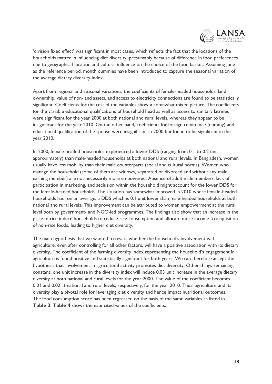

'division fixed effect' was significant in most cases, which reflects the fact that the locations of the households matter in influencing diet diversity, presumably because of difference in food preferences due to geographical location and cultural influence on the choice of the food basket. Assuming June as the reference period, month dummies have been introduced to capture the seasonal variation of the average dietary diversity index.

Apart from regional and seasonal variations, the coefficients of female-headed households, land ownership, value of non-land assets, and access to electricity connections are found to be statistically significant. Coefficients for the rest of the variables show a somewhat mixed picture. The coefficients for the variable educational qualifications of household head as well as access to sanitary latrines were significant for the year 2000 at both national and rural levels, whereas they appear to be insignificant for the year 2010. On the other hand, coefficients for foreign remittance (dummy) and educational qualification of the spouse were insignificant in 2000 but found to be significant in the year 2010.

In 2000, female-headed households experienced a lower DDS (ranging from 0.1 to 0.2 unit approximately) than male-headed households at both national and rural levels. In Bangladesh, women usually have less mobility than their male counterparts (social and cultural norms). Women who manage the household (some of them are widows, separated or divorced and without any male earning member) are not necessarily more empowered. Absence of adult male members, lack of participation in marketing, and seclusion within the household might account for the lower DDS for the female-headed households. The situation has somewhat improved in 2010 where female-headed households had, on an average, a DDS which is 0.1 unit lower than male-headed households at both national and rural levels. This improvement can be attributed to women empowerment at the rural level both by government- and NGO-led programmes. The findings also show that an increase in the price of rice induce households to reduce rice consumption and allocate more income to acquisition of non-rice foods, leading to higher diet diversity.

The main hypothesis that we wanted to test is whether the household's involvement with agriculture, even after controlling for all other factors, will have a positive association with its dietary diversity. The coefficient of the farming diversity index representing the household's engagement in agriculture is found positive and statistically significant for both years. We can therefore accept the hypothesis that involvement in agricultural activity promotes diet diversity. Other things remaining constant, one unit increase in the diversity index will induce 0.03 unit increase in the average dietary diversity at both national and rural levels for the year 2000. The value of the coefficient becomes 0.01 and 0.02 at national and rural levels, respectively, for the year 2010. Thus, agriculture and its diversity play a pivotal role for leveraging diet diversity and hence impact nutritional outcomes. The food consumption score has been regressed on the basis of the same variables as listed in **Table 3**. **Table 4** shows the estimated values of the coefficients.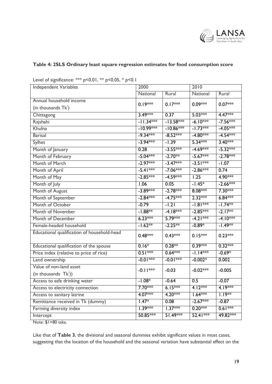

### **Table 4: 2SLS Ordinary least square regression estimates for food consumption score**

| c<br>$P$ - $V$ . $V$ i,<br>$P - 0.03, P - 0.1$ |                   |             |            |            |  |  |
|------------------------------------------------|-------------------|-------------|------------|------------|--|--|
| Independent Variables                          | 2000              |             | 2010       |            |  |  |
|                                                | National<br>Rural |             | National   | Rural      |  |  |
| Annual household income                        | $0.19***$         | $0.17***$   | $0.09***$  | $0.07***$  |  |  |
| (in thousands $Tk1$ )                          |                   |             |            |            |  |  |
| Chittagong                                     | $3.49***$         | 0.37        | $5.03***$  | $4.47***$  |  |  |
| Rajshahi                                       | $-11.34***$       | $-13.58***$ | $-6.10***$ | $-7.56***$ |  |  |
| Khulna                                         | $-10.99***$       | $-10.86***$ | $-1.73***$ | $-4.05***$ |  |  |
| <b>Barisal</b>                                 | $-9.34***$        | $-8.52***$  | $-4.80***$ | $-4.54***$ |  |  |
| Sylhet                                         | $-3.94***$        | $-1.39$     | $5.34***$  | $3.40***$  |  |  |
| Month of January                               | 0.28              | $-3.55***$  | $-4.69***$ | $-5.32***$ |  |  |
| Month of February                              | $-5.04***$        | $-2.70**$   | $-5.67***$ | $-2.78***$ |  |  |
| Month of March                                 | $-2.97***$        | $-3.47***$  | $-3.51***$ | $-1.07$    |  |  |
| Month of April                                 | $-5.41***$        | $-7.06***$  | $-2.86***$ | 0.74       |  |  |
| Month of May                                   | $-2.85***$        | $-4.59***$  | 1.25       | $4.90***$  |  |  |
| Month of July                                  | 1.06              | 0.05        | $-1.45*$   | $-2.66***$ |  |  |
| Month of August                                | $-3.89***$        | $-2.78***$  | 8.08 ***   | $7.30***$  |  |  |
| Month of September                             | $-2.84***$        | $-4.75***$  | $2.32***$  | $6.84***$  |  |  |
| Month of October                               | $-0.79$           | $-1.21$     | $-1.81***$ | $-1.74**$  |  |  |
| Month of November                              | $-1.88**$         | $-4.18***$  | $-2.85***$ | $-2.17**$  |  |  |
| Month of December                              | $6.23***$         | $5.79***$   | $-4.21***$ | $-4.10***$ |  |  |
| Female-headed household                        | $-1.62**$         | $-2.25***$  | $-0.89*$   | $-1.49**$  |  |  |
| Educational qualification of household-head    | $0.48***$         | $0.43***$   | $0.15***$  | $0.23***$  |  |  |
| Educational qualification of the spouse        | $0.16*$           | $0.28**$    | $0.39***$  | $0.32***$  |  |  |
| Price index (relative to price of rice)        | $0.51***$         | $0.64***$   | $-1.14***$ | $-0.69*$   |  |  |
| Land ownership                                 | $-0.01***$        | $-0.01***$  | $-0.002*$  | 0.002      |  |  |
| Value of non-land asset                        | $-0.11***$        |             | $-0.02***$ |            |  |  |
| $(in$ thousands $Tk!)$ )                       |                   | $-0.03$     |            | $-0.005$   |  |  |
| Access to safe drinking water                  | $-1.08*$          | $-0.64$     | 0.5        | $-0.07$    |  |  |
| Access to electricity connection               | $7.70***$         | $6.15***$   | $4.12***$  | $4.19***$  |  |  |
| Access to sanitary latrine                     | $4.07***$         | $4.20***$   | $1.64***$  | $1.19***$  |  |  |
| Remittance received in Tk (dummy)              | $1.47*$           | 0.08        | $-2.67***$ | $-0.87$    |  |  |
| Farming diversity index                        | $1.39***$         | $1.37***$   | $0.20***$  | $0.61***$  |  |  |
| Intercept                                      | 50.85***          | 51.49***    | 52.41 ***  | 49.82 ***  |  |  |

Level of significance:  $** \times 0.01$ ,  $** \times 0.05$ ,  $* \times 0.1$ 

Note: \$1=80 taka.

Like that of **Table 3**, the divisional and seasonal dummies exhibit significant values in most cases, suggesting that the location of the household and the seasonal variation have substantial effect on the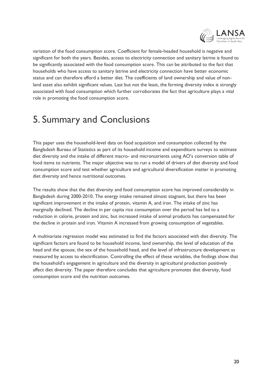

variation of the food consumption score. Coefficient for female-headed household is negative and significant for both the years. Besides, access to electricity connection and sanitary latrine is found to be significantly associated with the food consumption score. This can be attributed to the fact that households who have access to sanitary latrine and electricity connection have better economic status and can therefore afford a better diet. The coefficients of land ownership and value of nonland asset also exhibit significant values. Last but not the least, the farming diversity index is strongly associated with food consumption which further corroborates the fact that agriculture plays a vital role in promoting the food consumption score.

# 5. Summary and Conclusions

This paper uses the household-level data on food acquisition and consumption collected by the Bangladesh Bureau of Statistics as part of its household income and expenditure surveys to estimate diet diversity and the intake of different macro- and micronutrients using AO's conversion table of food items to nutrients. The major objective was to run a model of drivers of diet diversity and food consumption score and test whether agriculture and agricultural diversification matter in promoting diet diversity and hence nutritional outcomes.

The results show that the diet diversity and food consumption score has improved considerably in Bangladesh during 2000-2010. The energy intake remained almost stagnant, but there has been significant improvement in the intake of protein, vitamin A, and iron. The intake of zinc has marginally declined. The decline in per capita rice consumption over the period has led to a reduction in calorie, protein and zinc, but increased intake of animal products has compensated for the decline in protein and iron. Vitamin A increased from growing consumption of vegetables.

A multivariate regression model was estimated to find the factors associated with diet diversity. The significant factors are found to be household income, land ownership, the level of education of the head and the spouse, the sex of the household head, and the level of infrastructure development as measured by access to electrification. Controlling the effect of these variables, the findings show that the household's engagement in agriculture and the diversity in agricultural production positively affect diet diversity. The paper therefore concludes that agriculture promotes diet diversity, food consumption score and the nutrition outcomes.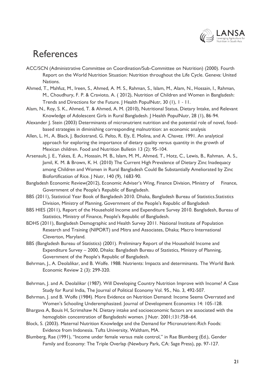

# References

- ACC/SCN (Administrative Committee on Coordination/Sub-Committee on Nutrition) (2000). Fourth Report on the World Nutrition Situation: Nutrition throughout the Life Cycle. Geneva: United Nations.
- Ahmed, T., Mahfuz, M., Ireen, S., Ahmed, A. M. S., Rahman, S., Islam, M., Alam, N., Hossain, I., Rahman, M., Choudhury, F. P. & Cravioto, A. ( 2012), Nutrition of Children and Women in Bangladesh: Trends and Directions for the Future. | Health PopulNutr, 30 (1), 1 - 11.
- Alam, N., Roy, S. K., Ahmed, T. & Ahmed, A. M. (2010), Nutritional Status, Dietary Intake, and Relevant Knowledge of Adolescent Girls in Rural Bangladesh. J Health PopulNutr, 28 (1), 86‐94.
- Alexander J. Stein (2003) Determinants of micronutrient nutrition and the potential role of novel, foodbased strategies in diminishing corresponding malnutrition: an economic analysis
- Allen, L. H., A. Black, J. Backstrand, G. Pelto, R. Ely, E. Molina, and A. Chavez. 1991. An analytical approach for exploring the importance of dietary quality versus quantity in the growth of Mexican children. Food and Nutrition Bulletin 13 (2): 95-104.
- Arsenault, J. E., Yakes, E. A., Hossain, M. B., Islam, M. M., Ahmed, T., Hotz, C., Lewis, B., Rahman, A. S., Jamil, K. M. & Brown, K. H. (2010) The Current High Prevalence of Dietary Zinc Inadequacy among Children and Women in Rural Bangladesh Could Be Substantially Ameliorated by Zinc Biofortification of Rice. J Nutr, 140 (9), 1683-90.
- Bangladesh Economic Review(2012), Economic Adviser's Wing, Finance Division, Ministry of Finance, Government of the People's Republic of Bangladesh.
- BBS (2011), Statistical Year Book of Bangladesh 2010. Dhaka, Bangladesh Bureau of Statistics.Statistics Division, Ministry of Planning, Government of the People's Republic of Bangladesh
- BBS HIES (2011), Report of the Household Income and Expenditure Survey 2010. Bangladesh, Bureau of Statistics, Ministry of Finance, People's Republic of Bangladesh.
- BDHS (2011), Bangladesh Demographic and Health Survey 2011. National Institute of Population Research and Training (NIPORT) and Mitra and Associates, Dhaka; Macro International Cleverton, Maryland.
- BBS (Bangladesh Bureau of Statistics) (2001). Preliminary Report of the Household Income and Expenditure Survey – 2000, Dhaka: Bangladesh Bureau of Statistics, Ministry of Planning, Government of the People's Republic of Bangladesh.
- Behrman, J., A. Deolalikar, and B. Wolfe. 1988. Nutrients: Impacts and determinants. The World Bank Economic Review 2 (3): 299-320.
- Behrman, J. and A. Deolalikar (1987). Will Developing Country Nutrition Improve with Income? A Case Study for Rural India, The Journal of Political Economy Vol. 95., No. 3, 492-507.
- Behrman, J. and B. Wolfe (1984). More Evidence on Nutrition Demand: Income Seems Overrated and Women's Schooling Underemphasized. Journal of Development Economics 14: 105-128.
- Bhargava A, Bouis H, Scrimshaw N. Dietary intake and socioeconomic factors are associated with the hemoglobin concentration of Bangladeshi women. | Nutr. 2001;131:758–64.
- Block, S. (2003). Maternal Nutrition Knowledge and the Demand for Micronutrient-Rich Foods: Evidence from Indonesia. Tufts University, Waltham, MA.
- Blumberg, Rae (1991), "Income under female versus male control," in Rae Blumberg (Ed.), Gender Family and Economy: The Triple Overlap (Newbury Park, CA: Sage Press), pp. 97-127.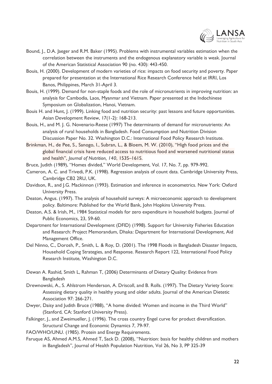

- Bound, J., D.A. Jaeger and R.M. Baker (1995). Problems with instrumental variables estimation when the correlation between the instruments and the endogenous explanatory variable is weak. Journal of the American Statistical Association 90 (no. 430): 443-450.
- Bouis, H. (2000). Development of modern varieties of rice: impacts on food security and poverty. Paper prepared for presentation at the International Rice Research Conference held at IRRI, Los Banos, Philippines, March 31-April 3.
- Bouis, H. (1999). Demand for non-staple foods and the role of micronutrients in improving nutrition: an analysis for Cambodia, Laos, Myanmar and Vietnam. Paper presented at the Indochinese Symposium on Globalization, Hanoi, Vietnam.
- Bouis H. and Hunt, J. (1999). Linking food and nutrition security: past lessons and future opportunities. Asian Development Review, 17(1-2): 168-213.
- Bouis, H., and M. J. G. Novenario-Reese (1997) The determinants of demand for micronutrients: An analysis of rural households in Bangladesh. Food Consumption and Nutrition Division Discussion Paper No. 32. Washington D.C.: International Food Policy Research Institute.
- Brinkman, H., de Pee, S., Sanogo, I., Subran, L., & Bloem, M. W. (2010), "High food prices and the global financial crisis have reduced access to nutritious food and worsened nutritional status and health", *Journal of Nutrition, 140*, 153S–161S.
- Bruce, Judith (1989), "Homes divided," World Development, Vol. 17, No. 7, pp. 979-992.
- Cameron, A. C. and Trivedi, P.K. (1998). Regression analysis of count data. Cambridge University Press, Cambridge CB2 2RU, UK.
- Davidson, R., and J.G. Mackinnon (1993). Estimation and inference in econometrics. New York: Oxford University Press.
- Deaton, Angus. (1997). The analysis of household surveys: A microeconomic approach to development policy. Baltimore: Published for the World Bank, John Hopkins University Press.
- Deaton, A.S. & Irish, M., 1984 Statistical models for zero expenditure in household budgets. Journal of Public Economics, 23, 59-60.
- Department for International Development (DFID) (1998). Support for University Fisheries Education and Research: Project Memorandum, Dhaka: Department for International Development, Aid Management Office.
- Del Ninno, C., Dorosh, P., Smith, L. & Roy, D. (2001). The 1998 Floods in Bangladesh Disaster Impacts, Household Coping Strategies, and Response. Research Report 122, International Food Policy Research Institute, Washington D.C.
- Dewan A. Rashid, Smith L, Rahman T, (2006) Determinants of Dietary Quality: Evidence from Bangladesh
- Drewnowski, A., S. Ahlstrom Henderson, A. Driscoll, and B. Rolls. (1997). The Dietary Variety Score: Assessing dietary quality in healthy young and older adults. Journal of the American Dietetic Association 97: 266-271.
- Dwyer, Daisy and Judith Bruce (1988), "A home divided: Women and income in the Third World" (Stanford, CA: Stanford University Press).
- Falkinger, J., and Zweimueller, J. (1996). The cross country Engel curve for product diversification. Structural Change and Economic Dynamics 7, 79-97.
- FAO/WHO/UNU. (1985). Protein and Energy Requirements.
- Faruque AS, Ahmed A.M.S, Ahmed T, Sack D. (2008), "Nutrition: basis for healthy children and mothers in Bangladesh", Journal of Health Population Nutrition, Vol 26, No 3, PP 325-39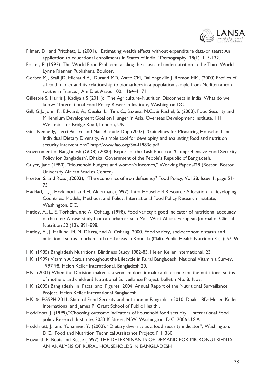

- Filmer, D., and Pritchett, L. (2001), "Estimating wealth effects without expenditure data-or tears: An application to educational enrollments in States of India," Demography, 38(1), 115-132.
- Foster, P. (1992). The World Food Problem: tackling the causes of undernutrition in the Third World. Lynne Rienner Publishers, Boulder.
- Gerber MJ, Scali JD, Michaud A, Durand MD, Astre CM, Dallongeville J, Romon MM, (2000) Profiles of a healthful diet and its relationship to biomarkers in a population sample from Mediterranean southern France. | Am Diet Assoc 100, 1164-1171.
- Gillespie S, Harris J, Kadiyala S (2011); "The Agriculture-Nutrition Disconnect in India: What do we know?" International Food Policy Research Institute, Washington DC.
- Gill, G.J., John, F., Edward, A., Cecilia, L., Tim, C., Saxena, N.C., & Rachel, S. (2003). Food Security and Millennium Development Goal on Hunger in Asia. Overseas Development Institute. 111 Westminister Bridge Road, London, UK.
- Gina Kennedy, Terri Ballard and MarieClaude Dop (2007) "Guidelines for Measuring Household and Individual Dietary Diversity, A simple tool for developing and evaluating food and nutrition security interventions" http://www.fao.org/3/a-i1983e.pdf
- Government of Bangladesh (GOB) (2000). Report of the Task Force on 'Comprehensive Food Security Policy for Bangladesh', Dhaka: Government of the People's Republic of Bangladesh.
- Guyer, Jane (1980), "Household budgets and women's incomes," Working Paper #28 (Boston: Boston University African Studies Center)
- Horton S. and Ross J.(2003), "The economics of iron deficiency" Food Policy, Vol 28, Issue 1, page 51- 75
- Haddad, L., J. Hoddinott, and H. Alderman, (1997). Intra Household Resource Allocation in Developing Countries: Models, Methods, and Policy. International Food Policy Research Institute, Washington, DC.
- Hatloy, A., L. E. Torheim, and A. Oshaug. (1998). Food variety a good indicator of nutritional adequacy of the diet? A case study from an urban area in Mali, West Africa. European Journal of Clinical Nutrition 52 (12): 891-898.
- Hatloy, A., J. Hallund, M. M. Diarra, and A. Oshaug. 2000. Food variety, socioeconomic status and nutritional status in urban and rural areas in Koutiala (Mali). Public Health Nutrition 3 (1): 57-65
- HKI (1985) Bangladesh Nutritional Blindness Study 1982‐83. Helen Keller International, 23.
- HKI (1999) Vitamin A Status throughout the Lifecycle in Rural Bangladesh: National Vitamin a Survey, 1997‐98. Helen Keller International, Bangladesh 20.
- HKI. (2001) When the Decision-maker is a woman: does it make a difference for the nutritional status of mothers and children? Nutritional Surveillance Project, bulletin No. 8. Nov.
- HKI (2005) Bangladesh in Facts and Figures 2004. Annual Report of the Nutritional Surveillance Project. Helen Keller International Bangladesh.
- HKI & JPGSPH 2011. State of Food Security and nutrition in Bangladesh:2010. Dhaka, BD: Hellen Keller International and James P Grant School of Public Health .
- Hoddinott, J. (1999),"Choosing outcome indicators of household food security", International Food policy Research Institute, 2033 K Street, N.W. Washington, D.C. 2006 U.S.A.
- Hoddinott, J. and Yonannes, Y. (2002), "Dietary diversity as a food security indicator", Washington, D.C.: Food and Nutrition Technical Assistance Project, FHI 360.
- Howarth E. Bouis and Resse (1997) THE DETERMINANTS OF DEMAND FOR MICRONUTRIENTS: AN ANALYSIS OF RURAL HOUSEHOLDS IN BANGLADESH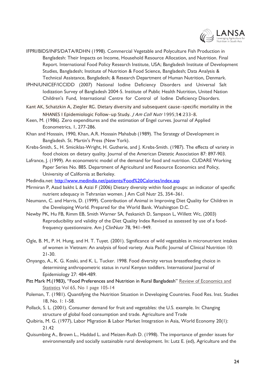

- IFPRI/BIDS/INFS/DATA/RDHN (1998). Commercial Vegetable and Polyculture Fish Production in Bangladesh: Their Impacts on Income, Household Resource Allocation, and Nutrition. Final Report. International Food Policy Research Institute, USA; Bangladesh Institute of Development Studies, Bangladesh; Institute of Nutrition & Food Science, Bangladesh; Data Analysis & Technical Assistance, Bangladesh; & Research Department of Human Nutrition, Denmark.
- IPHN/UNICEF/ICCIDD (2007) National Iodine Deficiency Disorders and Universal Salt Iodization Survey of Bangladesh 2004‐5. Institute of Public Health Nutrition, United Nation Children's Fund, International Centre for Control of Iodine Deficiency Disorders.
- Kant AK, Schatzkin A, Ziegler RG. Dietary diversity and subsequent cause-specific mortality in the NHANES I Epidemiologic Follow-up Study. *J Am Coll Nutr* 1995:14:233-8.
- Keen, M. (1986). Zero expenditures and the estimation of Engel curves. Journal of Applied Econometrics, 1, 277-286.
- Khan and Hossain, 1990, Khan, A.R. Hossain Mahabub (1989). The Strategy of Development in Bangladesh. St. Martin's Press (New York).
- Krebs-Smith, S., H. Smiciklas-Wright, H. Gutherie, and J. Krebs-Smith. (1987). The effects of variety in food choices on dietary quality. Journal of the American Dietetic Association 87: 897-903.
- Lafrance, J. (1999). An econometric model of the demand for food and nutrition. CUDARE Working Paper Series No. 885. Department of Agricultural and Resource Economics and Policy, University of California at Berkeley.

Medindia.net:<http://www.medindia.net/patients/Food%20Calories/index.asp>

- Mirmiran P, Azad bakht L & Azizi F (2006) Dietary diversity within food groups: an indicator of specific nutrient adequacy in Tehranian women. J Am Coll Nutr 25, 354–361.
- Neumann, C. and Harris, D. (1999). Contribution of Animal in Improving Diet Quality for Children in the Developing World. Prepared for the World Bank. Washington D.C.
- Newby PK, Hu FB, Rimm EB, Smith Warner SA, Feskanich D, Sampson L, Willett Wc, (2003) Reproducibility and validity of the Diet Quality Index Revised as assessed by use of a foodfrequency questionnaire. Am | ClinNutr 78, 941-949.
- Ogle, B. M., P. H. Hung, and H. T. Tuyet. (2001). Significance of wild vegetables in micronutrient intakes of women in Vietnam: An analysis of food variety. Asia Pacific Journal of Clinical Nutrition 10: 21-30.
- Onyango, A., K. G. Koski, and K. L. Tucker. 1998. Food diversity versus breastfeeding choice in determining anthropometric status in rural Kenyan toddlers. International Journal of Epidemiology 27: 484-489.
- Pitt Mark M.(1983), "Food Preferences and Nutrition in Rural Bangladesh" Review of Economics and [Statistics](https://www.researchgate.net/journal/1530-9142_Review_of_Economics_and_Statistics) Vol 65, No 1 page 105-14
- Poleman, T. (1981). Quantifying the Nutrition Situation in Developing Countries. Food Res. Inst. Studies 18, No. 1: 1-58.
- Pollack, S. L. (2001). Consumer demand for fruit and vegetables: the U.S. example. In: Changing structure of global food consumption and trade. Agriculture and Trade
- Quibiria, M. G. (1977), Labor Migration & Labor Market Integration in Asia, World Economy 20(1): 21.42
- Quisumbing A., Brown L., Haddad L. and Meizen-Ruth D. (1998). The importance of gender issues for environmentally and socially sustainable rural development. In: Lutz E. (ed), Agriculture and the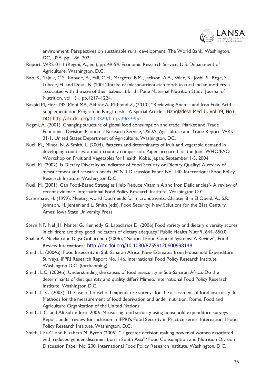

environment: Perspectives on sustainable rural development. The World Bank, Washington, DC, USA. pp. 186–202.

- Report. WRS-01-1 (Regmi, A., ed.), pp. 49-54. Economic Research Service, U.S. Department of Agriculture, Washington, D.C.
- Rao, S., Yajnik, C.S., Kanade, A., Fall, C.H., Margetts, B.M., Jackson, A.A., Shier, R., Joshi, S., Rege, S., Lubree, H. and Desai, B. (2001) Intake of micronutrient-rich foods in rural Indian mothers is associated with the size of their babies at birth: Pune Maternal Nutrition Study, Journal of Nutrition, vol 131, pp.1217–1224.
- Rashid M, Flora MS, Moni MA, Akhter A, Mahmud Z, (2010), "Reviewing Anemia and Iron Folic Acid Supplementation Program in Bangladesh - A Special Article", Bangladesh Med J., Vol 39, No3. DOI:http://dx.doi.org[/10.3329/bmj.v39i3.9952.](http://dx.doi.org/10.3329/bmj.v39i3.9952)
- Regmi, A. (2001). Changing structure of global food consumption and trade. Market and Trade Economics Division. Economic Research Service, USDA, Agriculture and Trade Report. WRS-01-1. United States Department of Agriculture, Washington, DC.
- Ruel, M., Minot, N. & Smith, L. (2004). Patterns and determinants of fruit and vegetable demand in developing countries: a multi-country comparison. Paper prepared for the Joint WHO/FAO Workshop on Fruit and Vegetables for Health. Kobe, Japan, September 1-3, 2004.
- Ruel, M. (2002). Is Dietary Diversity as Indicator of Food Security or Dietary Quality? A review of measurement and research needs. FCND Discussion Paper No. 140. International Food Policy Research Institute, Washington D.C.
- Ruel, M. (2001). Can Food-Based Strategies Help Reduce Vitamin A and Iron Deficiencies?- A review of recent evidence. International Food Policy Research Institute, Washington D.C.
- Scrimshaw, H. (1999). Meeting world food needs for micronutrients. Chapter 8 in El Obeid, A., S.R. Johnson, H. Jensen and L. Smith (eds), Food Security: New Solutions for the 21st Century. Ames: Iowa State University Press.
- Steyn NP, Nel JH, Nantel G, Kennedy G, Labadarios D, (2006) Food variety and dietary diversity scores in children: are they good indicators of dietary adequacy? Public Health Nutr 9, 644–650.0
- Shalini A. Neeliah and Daya Goburdhun (2006), "National Food Control Systems: A Review", Food Review International. <http://dx.doi.org/10.1080/87559120600998148>
- Smith, L. (2004a). Food Insecurity in Sub-Saharan Africa: New Estimates from Household Expenditure Surveys. IFPRI Research Report No. 146. International Food Policy Research Institute, Washington D.C. (forthcoming).
- Smith, L.C. (2004b). Understanding the causes of food insecurity in Sub-Saharan Africa: Do the determinants of diet quantity and quality differ? Mimeo. International Food Policy Research Institute, Washington D.C.
- Smith, L. C. (2003). The use of household expenditure surveys for the assessment of food insecurity. In Methods for the measurement of food deprivation and under nutrition. Rome, Food and Agriculture Organization of the United Nations.
- Smith, L.C. and Ali Subandoro. 2006. Measuring food security using household expenditure surveys. Report under review for inclusion in IFPRI's Food Security in Practice series. International Food Policy Research Institute, Washington, D.C.
- Smith, Lisa C. and Elizabeth M. Byron (2005). "Is greater decision making power of women associated with reduced gender discrimination in South Asia"? Food Consumption and Nutrition Division Discussion Paper No. 200. International Food Policy Research Institute, Washington, D.C.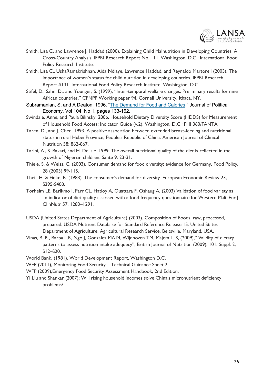

- Smith, Lisa C. and Lawrence J. Haddad (2000). Explaining Child Malnutrition in Developing Countries: A Cross-Country Analysis. IFPRI Research Report No. 111. Washington, D.C.: International Food Policy Research Institute.
- Smith, Lisa C., UshaRamakrishnan, Aida Ndiaye, Lawrence Haddad, and Reynaldo Martorell (2003). The importance of women's status for child nutrition in developing countries. IFPRI Research Report #131. International Food Policy Research Institute, Washington, D.C.
- Stifel, D., Sahn, D., and Younger, S. (1999), "Inter-temporal welfare changes: Preliminary results for nine African countries," CFNPP Working paper 94, Cornell University, Ithaca, NY.
- Subramanian, S, and A Deaton. 1996. "[The Demand for Food and Calories](http://scholar.princeton.edu/deaton/publications/demand-Food-And-Calories)." Journal of Political Economy, Vol 104, No 1, pages 133-162.
- Swindale, Anne, and Paula Bilinsky. 2006. Household Dietary Diversity Score (HDDS) for Measurement of Household Food Access: Indicator Guide (v.2). Washington, D.C.: FHI 360/FANTA
- Taren, D., and J. Chen. 1993. A positive association between extended breast-feeding and nutritional status in rural Hubei Province, People's Republic of China. American Journal of Clinical Nutrition 58: 862-867.
- Tarini, A., S. Bakari, and H. Delisle. 1999. The overall nutritional quality of the diet is reflected in the growth of Nigerian children. Sante 9: 23-31.
- Thiele, S. & Weiss, C. (2003). Consumer demand for food diversity: evidence for Germany. Food Policy, 28 (2003) 99-115.
- Theil, H. & Finke, R. (1983). The consumer's demand for diversity. European Economic Review 23, S395-S400.
- Torheim LE, Barikmo I, Parr CL, Hatloy A, Ouattara F, Oshaug A, (2003) Validation of food variety as an indicator of diet quality assessed with a food frequency questionnaire for Western Mali. Eur J ClinNutr 57, 1283–1291.
- USDA (United States Department of Agriculture) (2003). Composition of Foods, raw, processed, prepared. USDA Nutrient Database for Standard Reference Release 15. United States Department of Agriculture, Agricultural Research Service, Beltsville, Maryland, USA.
- Vinas, B. R., Barba L.R, Ngo J, Gonzalez MA.M, Wijnhoven TM, Majem L. S, (2009)," Validity of dietary patterns to assess nutrition intake adequecy", British Journal of Nutrition (2009), 101, Suppl. 2, S12–S20.
- World Bank. (1981). World Development Report, Washington D.C.
- WFP (2011), Monitoring Food Security Technical Guidance Sheet 2.
- WFP (2009),Emergency Food Security Assessment Handbook, 2nd Edition.
- Yi Liu and Shankar (2007); Will rising household incomes solve China's micronutrient deficiency problems?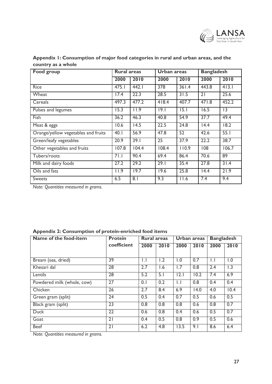

| <b>Food group</b>                   | <b>Rural areas</b> |                   | <b>Urban</b> areas |                   | <b>Bangladesh</b> |                   |  |
|-------------------------------------|--------------------|-------------------|--------------------|-------------------|-------------------|-------------------|--|
|                                     | 2000               | 2010              | 2000               | 2010              | 2000              | 2010              |  |
| Rice                                | 475.1              | 442.1             | 378                | 361.4             | 443.8             | 413.1             |  |
| Wheat                               | 17.4               | 22.3              | 28.5               | 31.5              | 21                | 25.6              |  |
| Cereals                             | 497.3              | 477.2             | 418.4              | 407.7             | 471.8             | 452.2             |  |
| Pulses and legumes                  | 15.3               | 11.9              | 9.1                | $\overline{15.1}$ | 16.5              | 3                 |  |
| Fish                                | 36.2               | 46.3              | 40.8               | 54.9              | 37.7              | 49.4              |  |
| Meat & eggs                         | 10.6               | $\overline{14.5}$ | 22.5               | 24.8              | $\overline{14.4}$ | $\overline{18.2}$ |  |
| Orange/yellow vegetables and fruits | 40.1               | 56.9              | 47.8               | 52                | 42.6              | 55.1              |  |
| Green/leafy vegetables              | 20.9               | 39.1              | 25                 | 37.9              | 22.2              | 38.7              |  |
| Other vegetables and fruits         | 107.8              | 104.4             | 108.4              | 110.9             | 08                | 106.7             |  |
| Tubers/roots                        | 71.1               | 90.4              | 69.4               | 86.4              | 70.6              | 89                |  |
| Milk and dairy foods                | 27.2               | 29.2              | 29.1               | 35.4              | 27.8              | 31.4              |  |
| Oils and fats                       | 11.9               | 19.7              | 19.6               | 25.8              | $\overline{14.4}$ | 21.9              |  |
| <b>Sweets</b>                       | 6.5                | $\overline{8.1}$  | 9.3                | 11.6              | 7.4               | 9.4               |  |

**Appendix 1: Consumption of major food categories in rural and urban areas, and the country as a whole** 

*Note: Quantities measured in grams.* 

|  |  |  | <b>Appendix 2: Consumption of protein-enriched food items</b> |  |  |
|--|--|--|---------------------------------------------------------------|--|--|
|--|--|--|---------------------------------------------------------------|--|--|

| Name of the food-item      | <b>Protein</b>  | Rural areas      |      |                  | <b>Urban areas</b> |                  | <b>Bangladesh</b> |  |
|----------------------------|-----------------|------------------|------|------------------|--------------------|------------------|-------------------|--|
|                            | coefficient     | 2000             | 2010 | 2000             | 2010               | 2000             | 2010              |  |
|                            |                 |                  |      |                  |                    |                  |                   |  |
| Bream (sea, dried)         | 39              | IJ               | 1.2  | 1.0              | 0.7                | $\mathsf{L}$     | 1.0               |  |
| Khesari dal                | 28              | 2.7              | 1.6  | 1.7              | 0.8                | 2.4              | 1.3               |  |
| Lentils                    | 28              | 5.2              | 5.1  | 2.1              | 10.2               | 7.4              | 6.9               |  |
| Powdered milk (whole, cow) | 27              | 0.1              | 0.2  | $  \cdot  $      | 0.8                | 0.4              | 0.4               |  |
| Chicken                    | 26              | $\overline{2.7}$ | 8.4  | 6.9              | 14.0               | 4.0              | 10.4              |  |
| Green gram (split)         | $\overline{24}$ | 0.5              | 0.4  | 0.7              | 0.5                | 0.6              | 0.5               |  |
| Black gram (split)         | 23              | 0.8              | 0.8  | $\overline{0.8}$ | 0.6                | $\overline{0.8}$ | $\overline{0.7}$  |  |
| <b>Duck</b>                | $\overline{22}$ | 0.6              | 0.8  | 0.4              | 0.6                | 0.5              | 0.7               |  |
| Goat                       | $\overline{21}$ | 0.4              | 0.5  | 0.8              | 0.9                | 0.5              | 0.6               |  |
| <b>Beef</b>                | 21              | 6.2              | 4.8  | 13.5             | 9.1                | 8.6              | 6.4               |  |

*Note: Quantities measured in grams.*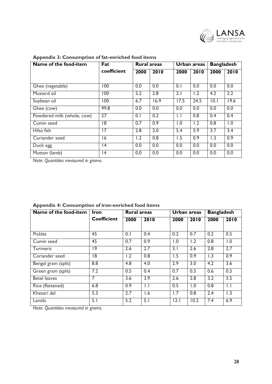

| Name of the food-item      | Fat            | <b>Rural areas</b> |      |              | Urban areas | <b>Bangladesh</b> |                  |
|----------------------------|----------------|--------------------|------|--------------|-------------|-------------------|------------------|
|                            | coefficient    | 2000               | 2010 | 2000         | 2010        | 2000              | 2010             |
|                            |                |                    |      |              |             |                   |                  |
| Ghee (vegetable)           | 100            | 0.0                | 0.0  | 0.1          | 0.0         | 0.0               | 0.0              |
| Mustard oil                | 100            | 5.2                | 2.8  | 2.1          | 1.2         | 4.2               | $\overline{2.2}$ |
| Soybean oil                | 100            | 6.7                | 16.9 | 17.5         | 24.5        | 10.1              | 19.6             |
| Ghee (cow)                 | 99.8           | 0.0                | 0.0  | 0.0          | 0.0         | 0.0               | 0.0              |
| Powdered milk (whole, cow) | 27             | 0.1                | 0.2  | $\mathsf{L}$ | 0.8         | 0.4               | 0.4              |
| Cumin seed                 | $\overline{8}$ | 0.7                | 0.9  | 1.0          | 1.2         | $\overline{0.8}$  | $\overline{1.0}$ |
| Hilsa fish                 | 17             | 2.8                | 2.0  | 5.4          | 5.9         | 3.7               | $\overline{3.4}$ |
| Coriander seed             | 16             | 1.2                | 0.8  | 1.5          | 0.9         | 1.3               | 0.9              |
| Duck egg                   | 14             | 0.0                | 0.0  | 0.0          | 0.0         | 0.0               | 0.0              |
| Mutton (lamb)              | 4              | 0.0                | 0.0  | 0.0          | 0.0         | 0.0               | 0.0              |

### **Appendix 3: Consumption of fat-enriched food items**

*Note: Quantities measured in grams.*

| Name of the food-item | Iron               | <b>Rural areas</b> |      |                  | Urban areas | <b>Bangladesh</b> |                  |
|-----------------------|--------------------|--------------------|------|------------------|-------------|-------------------|------------------|
|                       | <b>Coefficient</b> | 2000               | 2010 | 2000             | 2010        | 2000              | 2010             |
|                       |                    |                    |      |                  |             |                   |                  |
| <b>Pickles</b>        | 45                 | 0.1                | 0.4  | $\overline{0.2}$ | 0.7         | 0.2               | 0.5              |
| Cumin seed            | 45                 | 0.7                | 0.9  | 1.0              | 1.2         | 0.8               | 1.0              |
| <b>Turmeric</b>       | $\overline{19}$    | 2.6                | 2.7  | 3.1              | 2.6         | 2.8               | 2.7              |
| Coriander seed        | 18                 | 1.2                | 0.8  | 1.5              | 0.9         | 1.3               | $\overline{0.9}$ |
| Bengal gram (split)   | 8.8                | 4.8                | 4.0  | 2.9              | 3.0         | 4.2               | 3.6              |
| Green gram (split)    | 7.2                | 0.5                | 0.4  | 0.7              | 0.5         | 0.6               | 0.5              |
| <b>Betel leaves</b>   | 7                  | 3.6                | 3.9  | 2.6              | 2.8         | 3.2               | 3.5              |
| Rice (flattened)      | 6.8                | 0.9                | IJ   | 0.5              | 1.0         | 0.8               | $\mathsf{L}$     |
| Khesari dal           | 5.3                | 2.7                | 1.6  | 1.7              | 0.8         | 2.4               | 1.3              |
| Lentils               | 5.1                | 5.2                | 5.1  | 2.1              | 10.2        | 7.4               | 6.9              |

### **Appendix 4: Consumption of iron-enriched food items**

*Note: Quantities measured in grams.*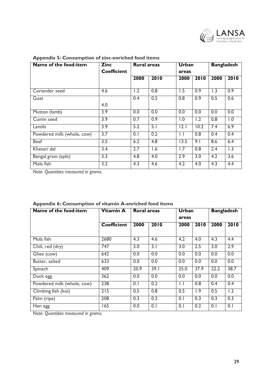

| Name of the food-item      | <b>Zinc</b>        | Rural areas |                  | <b>Urban</b>     |                  | <b>Bangladesh</b> |                  |  |
|----------------------------|--------------------|-------------|------------------|------------------|------------------|-------------------|------------------|--|
|                            | <b>Coefficient</b> |             |                  |                  | areas            |                   |                  |  |
|                            |                    | 2000        | 2010             | 2000             | 2010             | 2000              | 2010             |  |
|                            |                    |             |                  |                  |                  |                   |                  |  |
| Coriander seed             | 4.6                | 1.2         | 0.8              | 1.5              | 0.9              | 1.3               | $\overline{0.9}$ |  |
| Goat                       |                    | 0.4         | 0.5              | 0.8              | 0.9              | 0.5               | 0.6              |  |
|                            | 4.0                |             |                  |                  |                  |                   |                  |  |
| Mutton (lamb)              | 3.9                | 0.0         | 0.0              | 0.0              | 0.0              | 0.0               | 0.0              |  |
| Cumin seed                 | 3.9                | 0.7         | 0.9              | $\overline{1.0}$ | 1.2              | 0.8               | 1.0              |  |
| Lentils                    | 3.9                | 5.2         | 5.1              | 2.1              | 10.2             | 7.4               | 6.9              |  |
| Powdered milk (whole, cow) | $\overline{3.7}$   | 0.1         | 0.2              | $\mathsf{L}$     | 0.8              | 0.4               | 0.4              |  |
| <b>Beef</b>                | $\overline{3.5}$   | 6.2         | $\overline{4.8}$ | 13.5             | 9.1              | 8.6               | 6.4              |  |
| Khesari dal                | 3.4                | 2.7         | 1.6              | $\overline{1.7}$ | 0.8              | 2.4               | 1.3              |  |
| Bengal gram (split)        | 3.3                | 4.8         | 4.0              | 2.9              | $\overline{3.0}$ | 4.2               | $\overline{3.6}$ |  |
| Mola fish                  | 3.2                | 4.3         | 4.6              | 4.2              | 4.0              | 4.3               | 4.4              |  |

#### **Appendix 5: Consumption of zinc-enriched food items**

*Note: Quantities measured in grams.*

| Name of the food-item      | Vitamin A          | <b>Rural areas</b> |      | Urban        |      | <b>Bangladesh</b> |      |
|----------------------------|--------------------|--------------------|------|--------------|------|-------------------|------|
|                            |                    |                    |      | areas        |      |                   |      |
|                            | <b>Coefficient</b> | 2000               | 2010 | 2000         | 2010 | 2000              | 2010 |
|                            |                    |                    |      |              |      |                   |      |
| Mola fish                  | 2680               | 4.3                | 4.6  | 4.2          | 4.0  | 4.3               | 4.4  |
| Chili, red (dry)           | 747                | 3.0                | 3.1  | 3.0          | 2.5  | 3.0               | 2.9  |
| Ghee (cow)                 | 642                | 0.0                | 0.0  | 0.0          | 0.0  | 0.0               | 0.0  |
| Butter, salted             | 633                | 0.0                | 0.0  | 0.0          | 0.0  | 0.0               | 0.0  |
| Spinach                    | 409                | 20.9               | 39.1 | 25.0         | 37.9 | 22.2              | 38.7 |
| Duck egg                   | 362                | 0.0                | 0.0  | 0.0          | 0.0  | 0.0               | 0.0  |
| Powdered milk (whole, cow) | 238                | 0.1                | 0.2  | $\mathsf{L}$ | 0.8  | 0.4               | 0.4  |
| Climbing fish (koi)        | 215                | 0.5                | 0.8  | 0.5          | 1.9  | 0.5               | 1.2  |
| Palm (ripe)                | 208                | 0.3                | 0.3  | 0.1          | 0.3  | 0.3               | 0.3  |
| Hen egg                    | 165                | 0.0                | 0.1  | 0.1          | 0.2  | 0.1               | 0.1  |

### **Appendix 6: Consumption of vitamin A-enriched food items**

*Note: Quantities measured in grams.*